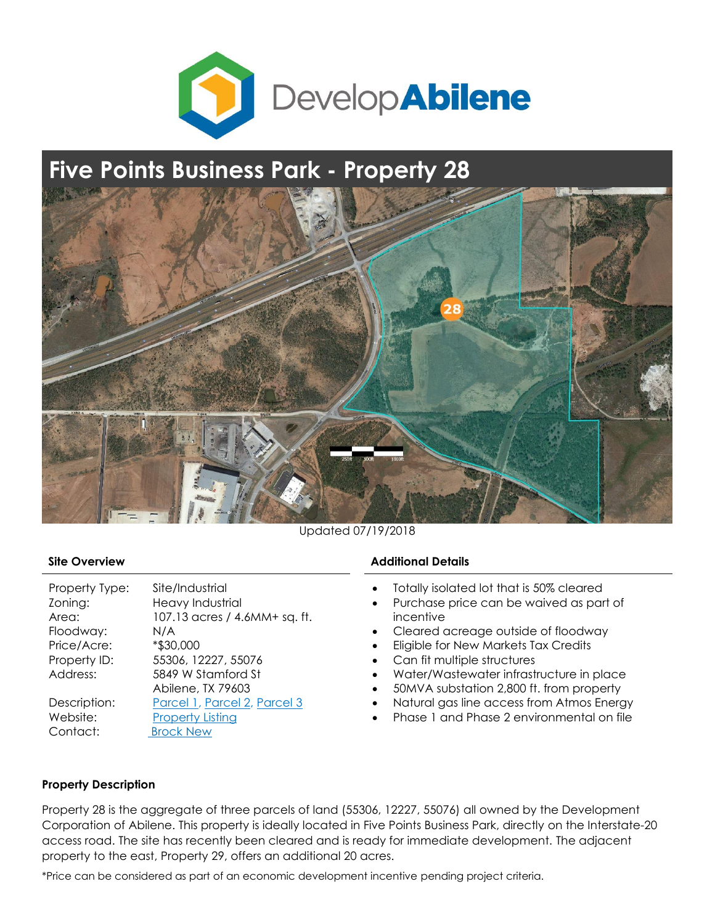

## **Five Points Business Park - Property 28**



Updated 07/19/2018

| Property Type: | Site/Industrial               |
|----------------|-------------------------------|
| Zoning:        | Heavy Industrial              |
| Area:          | 107.13 acres / 4.6MM+ sq. ft. |
| Floodway:      | N/A                           |
| Price/Acre:    | *\$30,000                     |
| Property ID:   | 55306, 12227, 55076           |
| Address:       | 5849 W Stamford St            |
|                | Abilene, TX 79603             |
| Description:   | Parcel 1, Parcel 2, Parcel 3  |
| Website:       | <b>Property Listing</b>       |
| Contact:       | <b>Brock New</b>              |

## **Site Overview Additional Details**

- Totally isolated lot that is 50% cleared
- Purchase price can be waived as part of incentive
- Cleared acreage outside of floodway
- Eligible for New Markets Tax Credits
- Can fit multiple structures
- Water/Wastewater infrastructure in place
- 50MVA substation 2,800 ft. from property
- Natural gas line access from Atmos Energy
- Phase 1 and Phase 2 environmental on file

## **Property Description**

Property 28 is the aggregate of three parcels of land (55306, 12227, 55076) all owned by the Development Corporation of Abilene. This property is ideally located in Five Points Business Park, directly on the Interstate-20 access road. The site has recently been cleared and is ready for immediate development. The adjacent property to the east, Property 29, offers an additional 20 acres.

\*Price can be considered as part of an economic development incentive pending project criteria.